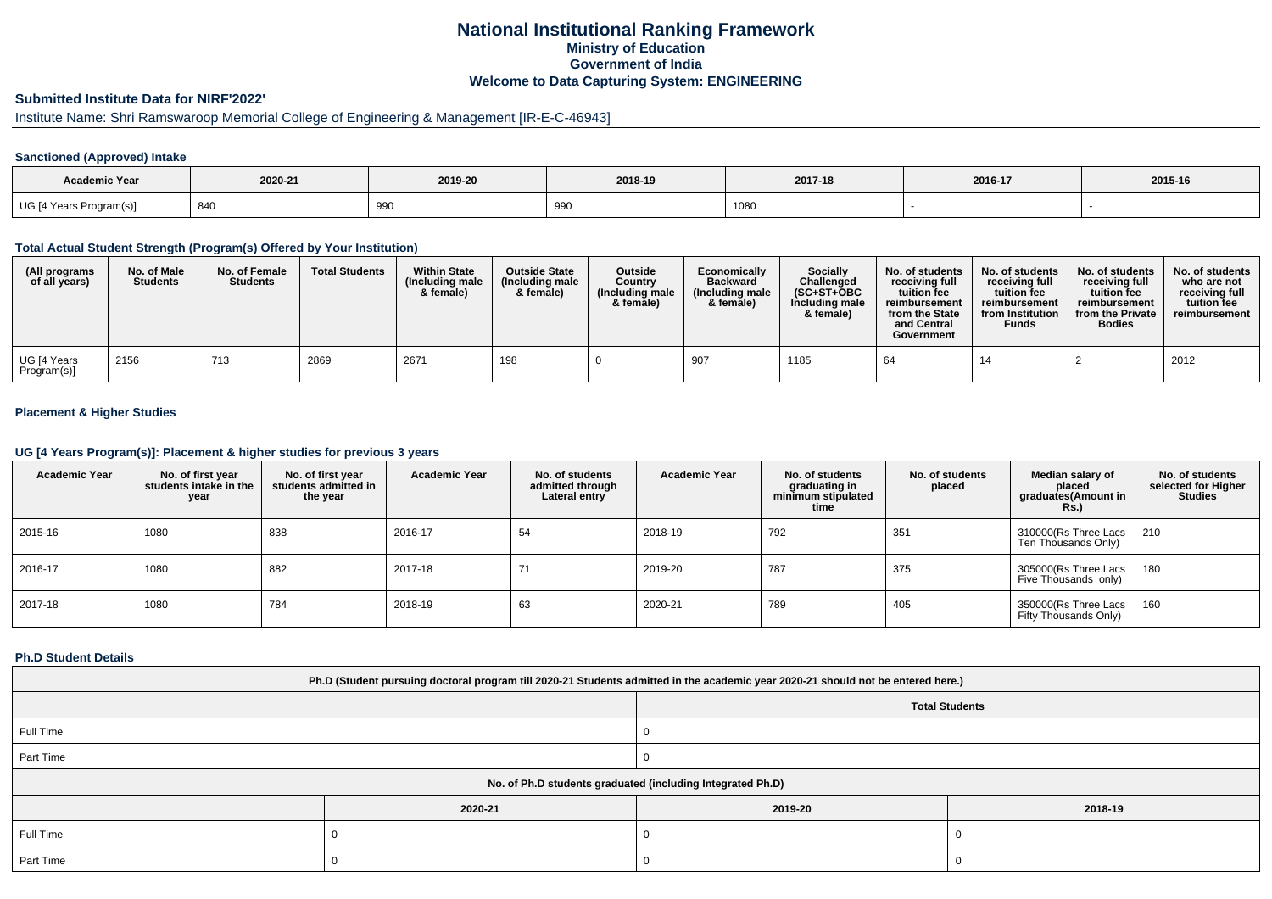# **National Institutional Ranking FrameworkMinistry of Education Government of IndiaWelcome to Data Capturing System: ENGINEERING**

# **Submitted Institute Data for NIRF'2022'**

# Institute Name: Shri Ramswaroop Memorial College of Engineering & Management [IR-E-C-46943]

### **Sanctioned (Approved) Intake**

| <b>Academic Year</b>    | 2020-21 | 2019-20 | 2018-19   | 2017-18 | 2016-17 | 2015-16 |
|-------------------------|---------|---------|-----------|---------|---------|---------|
| UG [4 Years Program(s)] | 84C     | 990     | ററ<br>っつい | 1080    |         |         |

#### **Total Actual Student Strength (Program(s) Offered by Your Institution)**

| (All programs<br>of all years) | No. of Male<br><b>Students</b> | No. of Female<br><b>Students</b> | <b>Total Students</b> | <b>Within State</b><br>(Including male<br>& female) | <b>Outside State</b><br>(Including male<br>& female) | <b>Outside</b><br>Country<br>(Including male<br>& female) | Economically<br><b>Backward</b><br>(Including male<br>& female) | Socially<br>Challenged<br>$(SC+ST+OBC$<br>Including male<br>& female) | No. of students<br>receiving full<br>tuition fee<br>reimbursement<br>from the State<br>and Central<br>Government | No. of students<br>receiving full<br>tuition fee<br>reimbursement<br>from Institution<br><b>Funds</b> | No. of students<br>receiving full<br>tuition fee<br>reimbursement<br>from the Private<br><b>Bodies</b> | No. of students<br>who are not<br>receiving full<br>tuition fee<br>reimbursement |
|--------------------------------|--------------------------------|----------------------------------|-----------------------|-----------------------------------------------------|------------------------------------------------------|-----------------------------------------------------------|-----------------------------------------------------------------|-----------------------------------------------------------------------|------------------------------------------------------------------------------------------------------------------|-------------------------------------------------------------------------------------------------------|--------------------------------------------------------------------------------------------------------|----------------------------------------------------------------------------------|
| UG [4 Years<br>Program(s)]     | 2156                           | 713                              | 2869                  | 2671                                                | 198                                                  |                                                           | 907                                                             | 1185                                                                  | 64                                                                                                               | 14                                                                                                    |                                                                                                        | 2012                                                                             |

### **Placement & Higher Studies**

#### **UG [4 Years Program(s)]: Placement & higher studies for previous 3 years**

| <b>Academic Year</b> | No. of first year<br>students intake in the<br>year | No. of first year<br>students admitted in<br>the year | <b>Academic Year</b> | No. of students<br>admitted through<br>Lateral entry | <b>Academic Year</b> | No. of students<br>graduating in<br>minimum stipulated<br>time | No. of students<br>placed | Median salary of<br>placed<br>graduates(Amount in<br><b>Rs.)</b> | No. of students<br>selected for Higher<br><b>Studies</b> |
|----------------------|-----------------------------------------------------|-------------------------------------------------------|----------------------|------------------------------------------------------|----------------------|----------------------------------------------------------------|---------------------------|------------------------------------------------------------------|----------------------------------------------------------|
| 2015-16              | 1080                                                | 838                                                   | 2016-17              | 54                                                   | 2018-19              | 792                                                            | 351                       | 310000(Rs Three Lacs  <br>Ten Thousands Only)                    | 210                                                      |
| 2016-17              | 1080                                                | 882                                                   | 2017-18              | 71                                                   | 2019-20              | 787                                                            | 375                       | 305000(Rs Three Lacs  <br>Five Thousands only)                   | 180                                                      |
| 2017-18              | 1080                                                | 784                                                   | 2018-19              | 63                                                   | 2020-21              | 789                                                            | 405                       | 350000(Rs Three Lacs<br>Fifty Thousands Only)                    | 160                                                      |

#### **Ph.D Student Details**

| Ph.D (Student pursuing doctoral program till 2020-21 Students admitted in the academic year 2020-21 should not be entered here.) |         |                       |         |  |  |  |  |
|----------------------------------------------------------------------------------------------------------------------------------|---------|-----------------------|---------|--|--|--|--|
|                                                                                                                                  |         | <b>Total Students</b> |         |  |  |  |  |
| Full Time                                                                                                                        |         |                       |         |  |  |  |  |
| Part Time                                                                                                                        |         |                       |         |  |  |  |  |
| No. of Ph.D students graduated (including Integrated Ph.D)                                                                       |         |                       |         |  |  |  |  |
|                                                                                                                                  | 2020-21 | 2019-20               | 2018-19 |  |  |  |  |
| Full Time                                                                                                                        |         |                       |         |  |  |  |  |
| Part Time                                                                                                                        |         |                       |         |  |  |  |  |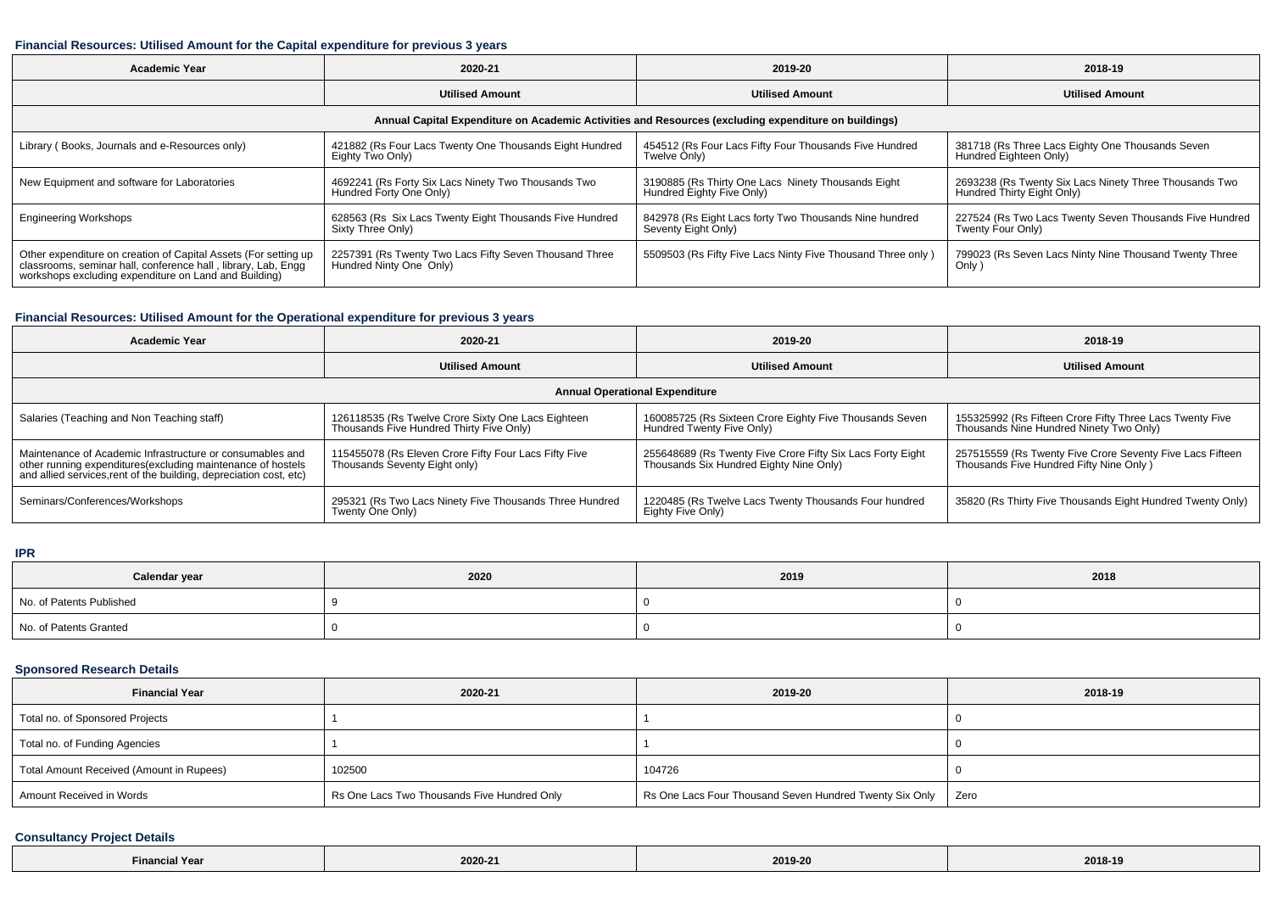### **Financial Resources: Utilised Amount for the Capital expenditure for previous 3 years**

| <b>Academic Year</b>                                                                                                                                                                      | 2020-21                                                                           | 2019-20                                                                         | 2018-19                                                                              |  |  |  |  |  |
|-------------------------------------------------------------------------------------------------------------------------------------------------------------------------------------------|-----------------------------------------------------------------------------------|---------------------------------------------------------------------------------|--------------------------------------------------------------------------------------|--|--|--|--|--|
|                                                                                                                                                                                           | <b>Utilised Amount</b>                                                            | <b>Utilised Amount</b>                                                          | <b>Utilised Amount</b>                                                               |  |  |  |  |  |
| Annual Capital Expenditure on Academic Activities and Resources (excluding expenditure on buildings)                                                                                      |                                                                                   |                                                                                 |                                                                                      |  |  |  |  |  |
| Library (Books, Journals and e-Resources only)                                                                                                                                            | 421882 (Rs Four Lacs Twenty One Thousands Eight Hundred<br>Eighty Two Only)       | 454512 (Rs Four Lacs Fifty Four Thousands Five Hundred<br>Twelve Only)          | 381718 (Rs Three Lacs Eighty One Thousands Seven<br>Hundred Eighteen Only)           |  |  |  |  |  |
| New Equipment and software for Laboratories                                                                                                                                               | 4692241 (Rs Forty Six Lacs Ninety Two Thousands Two<br>Hundred Forty One Only)    | 3190885 (Rs Thirty One Lacs Ninety Thousands Eight<br>Hundred Eighty Five Only) | 2693238 (Rs Twenty Six Lacs Ninety Three Thousands Two<br>Hundred Thirty Eight Only) |  |  |  |  |  |
| <b>Engineering Workshops</b>                                                                                                                                                              | 628563 (Rs Six Lacs Twenty Eight Thousands Five Hundred<br>Sixty Three Only)      | 842978 (Rs Eight Lacs forty Two Thousands Nine hundred<br>Seventy Eight Only)   | 227524 (Rs Two Lacs Twenty Seven Thousands Five Hundred<br>Twenty Four Only)         |  |  |  |  |  |
| Other expenditure on creation of Capital Assets (For setting up<br>classrooms, seminar hall, conference hall, library, Lab, Engg<br>workshops excluding expenditure on Land and Building) | 2257391 (Rs Twenty Two Lacs Fifty Seven Thousand Three<br>Hundred Ninty One Only) | 5509503 (Rs Fifty Five Lacs Ninty Five Thousand Three only)                     | 799023 (Rs Seven Lacs Ninty Nine Thousand Twenty Three<br>Only)                      |  |  |  |  |  |

# **Financial Resources: Utilised Amount for the Operational expenditure for previous 3 years**

| <b>Academic Year</b>                                                                                                                                                                            | 2020-21                                                                                        | 2019-20                                                                                               | 2018-19                                                                                               |  |  |  |  |  |
|-------------------------------------------------------------------------------------------------------------------------------------------------------------------------------------------------|------------------------------------------------------------------------------------------------|-------------------------------------------------------------------------------------------------------|-------------------------------------------------------------------------------------------------------|--|--|--|--|--|
|                                                                                                                                                                                                 | <b>Utilised Amount</b>                                                                         | <b>Utilised Amount</b>                                                                                | <b>Utilised Amount</b>                                                                                |  |  |  |  |  |
| <b>Annual Operational Expenditure</b>                                                                                                                                                           |                                                                                                |                                                                                                       |                                                                                                       |  |  |  |  |  |
| Salaries (Teaching and Non Teaching staff)                                                                                                                                                      | 126118535 (Rs Twelve Crore Sixty One Lacs Eighteen<br>Thousands Five Hundred Thirty Five Only) | 160085725 (Rs Sixteen Crore Eighty Five Thousands Seven<br>Hundred Twenty Five Only)                  | 155325992 (Rs Fifteen Crore Fifty Three Lacs Twenty Five<br>Thousands Nine Hundred Ninety Two Only)   |  |  |  |  |  |
| Maintenance of Academic Infrastructure or consumables and<br>other running expenditures (excluding maintenance of hostels<br>and allied services, rent of the building, depreciation cost, etc) | 115455078 (Rs Eleven Crore Fifty Four Lacs Fifty Five<br>Thousands Seventy Eight only)         | 255648689 (Rs Twenty Five Crore Fifty Six Lacs Forty Eight<br>Thousands Six Hundred Eighty Nine Only) | 257515559 (Rs Twenty Five Crore Seventy Five Lacs Fifteen<br>Thousands Five Hundred Fifty Nine Only ) |  |  |  |  |  |
| Seminars/Conferences/Workshops                                                                                                                                                                  | 295321 (Rs Two Lacs Ninety Five Thousands Three Hundred<br>Twenty One Only)                    | 1220485 (Rs Twelve Lacs Twenty Thousands Four hundred<br>Eighty Five Only)                            | 35820 (Rs Thirty Five Thousands Eight Hundred Twenty Only)                                            |  |  |  |  |  |

#### **IPR**

| Calendar year            | 2020 | 2019 | 2018 |
|--------------------------|------|------|------|
| No. of Patents Published |      |      |      |
| No. of Patents Granted   |      |      |      |

# **Sponsored Research Details**

| <b>Financial Year</b>                    | 2020-21                                     | 2019-20                                                        | 2018-19 |
|------------------------------------------|---------------------------------------------|----------------------------------------------------------------|---------|
| Total no. of Sponsored Projects          |                                             |                                                                |         |
| Total no. of Funding Agencies            |                                             |                                                                |         |
| Total Amount Received (Amount in Rupees) | 102500                                      | 104726                                                         |         |
| Amount Received in Words                 | Rs One Lacs Two Thousands Five Hundred Only | Rs One Lacs Four Thousand Seven Hundred Twenty Six Only   Zero |         |

### **Consultancy Project Details**

| N Year<br>inanci<br>manc<br>. | 2020-21 | 2019-20<br>. | 2018-19<br>. |
|-------------------------------|---------|--------------|--------------|
|-------------------------------|---------|--------------|--------------|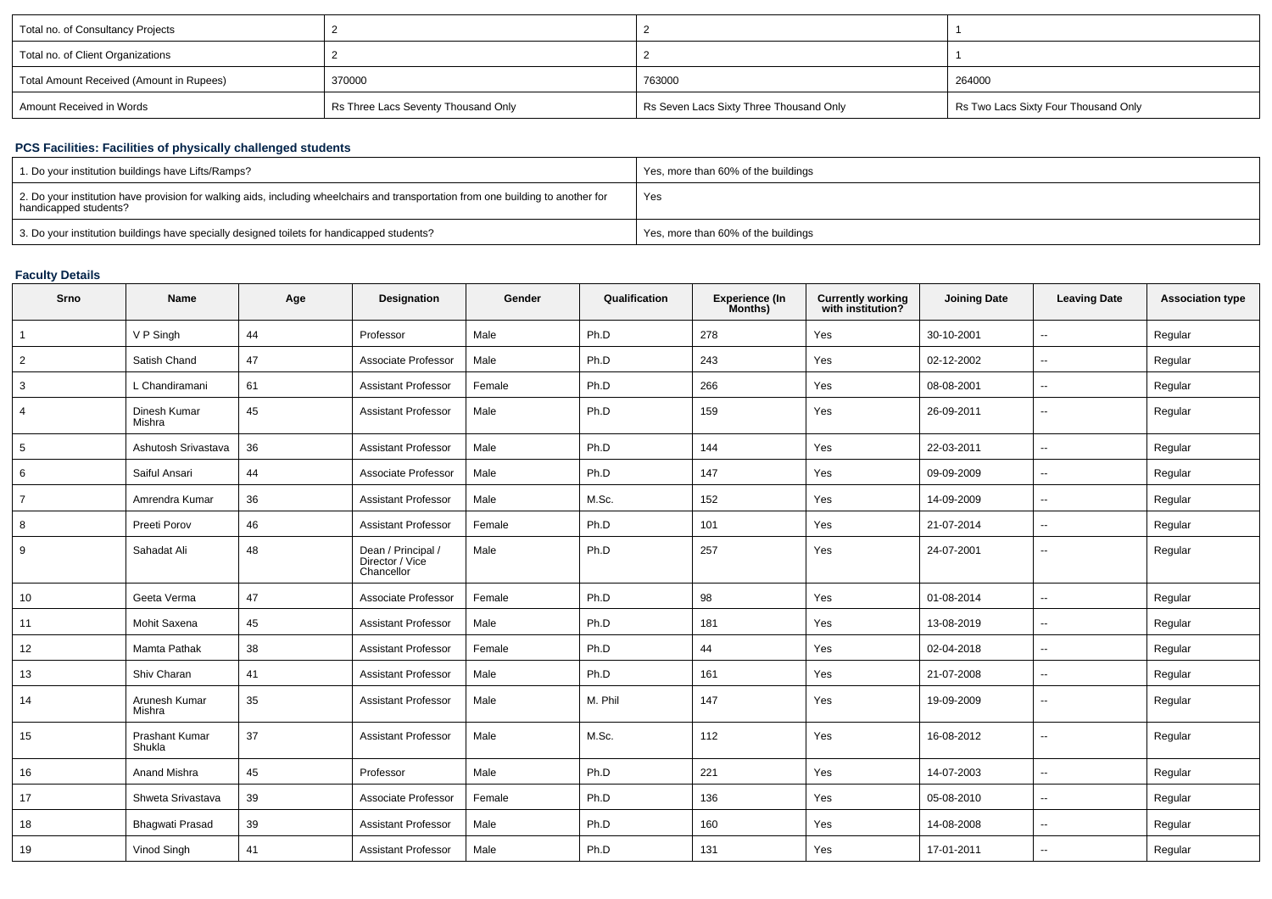| Total no. of Consultancy Projects        |                                     |                                         |                                      |
|------------------------------------------|-------------------------------------|-----------------------------------------|--------------------------------------|
| Total no. of Client Organizations        |                                     |                                         |                                      |
| Total Amount Received (Amount in Rupees) | 370000                              | 763000                                  | 264000                               |
| Amount Received in Words                 | Rs Three Lacs Seventy Thousand Only | Rs Seven Lacs Sixty Three Thousand Only | Rs Two Lacs Sixty Four Thousand Only |

# **PCS Facilities: Facilities of physically challenged students**

| 1. Do your institution buildings have Lifts/Ramps?                                                                                                         | Yes, more than 60% of the buildings |
|------------------------------------------------------------------------------------------------------------------------------------------------------------|-------------------------------------|
| 2. Do your institution have provision for walking aids, including wheelchairs and transportation from one building to another for<br>handicapped students? | Yes                                 |
| 3. Do your institution buildings have specially designed toilets for handicapped students?                                                                 | Yes, more than 60% of the buildings |

### **Faculty Details**

| Srno           | Name                     | Age | Designation                                         | Gender | Qualification | <b>Experience (In</b><br>Months) | <b>Currently working</b><br>with institution? | <b>Joining Date</b> | <b>Leaving Date</b>      | <b>Association type</b> |
|----------------|--------------------------|-----|-----------------------------------------------------|--------|---------------|----------------------------------|-----------------------------------------------|---------------------|--------------------------|-------------------------|
| $\mathbf{1}$   | V P Singh                | 44  | Professor                                           | Male   | Ph.D          | 278                              | Yes                                           | 30-10-2001          | $\overline{\phantom{a}}$ | Regular                 |
| $\overline{2}$ | Satish Chand             | 47  | Associate Professor                                 | Male   | Ph.D          | 243                              | Yes                                           | 02-12-2002          | $\sim$                   | Regular                 |
| 3              | L Chandiramani           | 61  | <b>Assistant Professor</b>                          | Female | Ph.D          | 266                              | Yes                                           | 08-08-2001          | $\sim$                   | Regular                 |
| $\overline{4}$ | Dinesh Kumar<br>Mishra   | 45  | <b>Assistant Professor</b>                          | Male   | Ph.D          | 159                              | Yes                                           | 26-09-2011          | $\sim$                   | Regular                 |
| 5              | Ashutosh Srivastava      | 36  | <b>Assistant Professor</b>                          | Male   | Ph.D          | 144                              | Yes                                           | 22-03-2011          | $\sim$                   | Regular                 |
| 6              | Saiful Ansari            | 44  | Associate Professor                                 | Male   | Ph.D          | 147                              | Yes                                           | 09-09-2009          | $\sim$                   | Regular                 |
| $\overline{7}$ | Amrendra Kumar           | 36  | <b>Assistant Professor</b>                          | Male   | M.Sc.         | 152                              | Yes                                           | 14-09-2009          | $\sim$                   | Regular                 |
| 8              | Preeti Porov             | 46  | <b>Assistant Professor</b>                          | Female | Ph.D          | 101                              | Yes                                           | 21-07-2014          | $\sim$                   | Regular                 |
| 9              | Sahadat Ali              | 48  | Dean / Principal /<br>Director / Vice<br>Chancellor | Male   | Ph.D          | 257                              | Yes                                           | 24-07-2001          | $\sim$                   | Regular                 |
| 10             | Geeta Verma              | 47  | Associate Professor                                 | Female | Ph.D          | 98                               | Yes                                           | 01-08-2014          | $\sim$                   | Regular                 |
| 11             | Mohit Saxena             | 45  | <b>Assistant Professor</b>                          | Male   | Ph.D          | 181                              | Yes                                           | 13-08-2019          | $\sim$                   | Regular                 |
| 12             | <b>Mamta Pathak</b>      | 38  | <b>Assistant Professor</b>                          | Female | Ph.D          | 44                               | Yes                                           | 02-04-2018          | $\sim$                   | Regular                 |
| 13             | Shiv Charan              | 41  | <b>Assistant Professor</b>                          | Male   | Ph.D          | 161                              | Yes                                           | 21-07-2008          | $\sim$                   | Regular                 |
| 14             | Arunesh Kumar<br>Mishra  | 35  | <b>Assistant Professor</b>                          | Male   | M. Phil       | 147                              | Yes                                           | 19-09-2009          | $\sim$                   | Regular                 |
| 15             | Prashant Kumar<br>Shukla | 37  | <b>Assistant Professor</b>                          | Male   | M.Sc.         | 112                              | Yes                                           | 16-08-2012          | $\sim$                   | Regular                 |
| 16             | Anand Mishra             | 45  | Professor                                           | Male   | Ph.D          | 221                              | Yes                                           | 14-07-2003          | $\sim$                   | Regular                 |
| 17             | Shweta Srivastava        | 39  | Associate Professor                                 | Female | Ph.D          | 136                              | Yes                                           | 05-08-2010          | $\sim$                   | Regular                 |
| 18             | <b>Bhagwati Prasad</b>   | 39  | <b>Assistant Professor</b>                          | Male   | Ph.D          | 160                              | Yes                                           | 14-08-2008          | $\sim$                   | Regular                 |
| 19             | Vinod Singh              | 41  | <b>Assistant Professor</b>                          | Male   | Ph.D          | 131                              | Yes                                           | 17-01-2011          | $\sim$                   | Regular                 |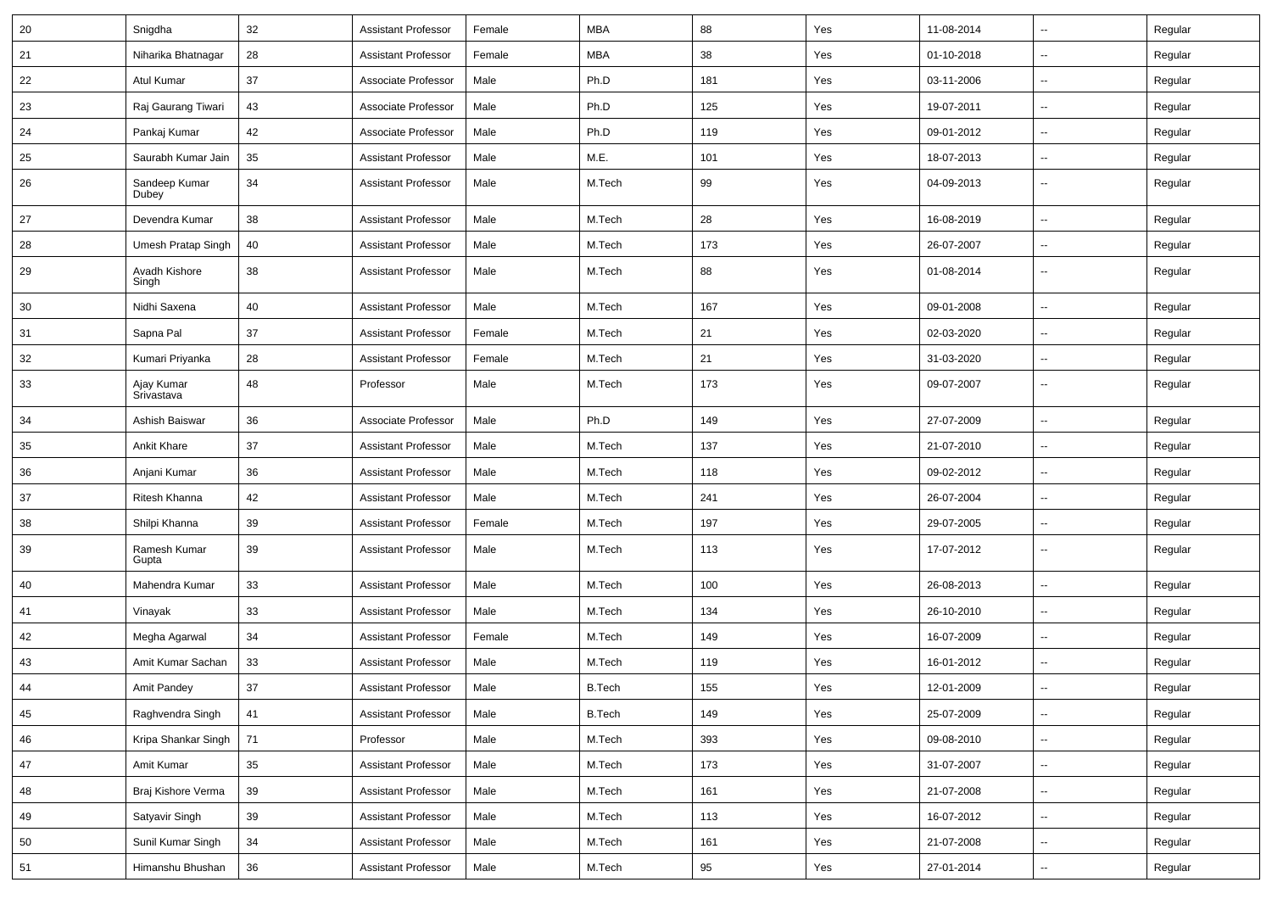| 20 | Snigdha                  | 32 | <b>Assistant Professor</b> | Female | <b>MBA</b>    | 88  | Yes | 11-08-2014 | Ξ.                       | Regular |
|----|--------------------------|----|----------------------------|--------|---------------|-----|-----|------------|--------------------------|---------|
| 21 | Niharika Bhatnagar       | 28 | <b>Assistant Professor</b> | Female | <b>MBA</b>    | 38  | Yes | 01-10-2018 | $\overline{\phantom{a}}$ | Regular |
| 22 | Atul Kumar               | 37 | Associate Professor        | Male   | Ph.D          | 181 | Yes | 03-11-2006 |                          | Regular |
| 23 | Raj Gaurang Tiwari       | 43 | Associate Professor        | Male   | Ph.D          | 125 | Yes | 19-07-2011 | --                       | Regular |
| 24 | Pankaj Kumar             | 42 | Associate Professor        | Male   | Ph.D          | 119 | Yes | 09-01-2012 | Ξ.                       | Regular |
| 25 | Saurabh Kumar Jain       | 35 | <b>Assistant Professor</b> | Male   | M.E.          | 101 | Yes | 18-07-2013 |                          | Regular |
| 26 | Sandeep Kumar<br>Dubey   | 34 | <b>Assistant Professor</b> | Male   | M.Tech        | 99  | Yes | 04-09-2013 | $\sim$                   | Regular |
| 27 | Devendra Kumar           | 38 | <b>Assistant Professor</b> | Male   | M.Tech        | 28  | Yes | 16-08-2019 | $\ddot{\phantom{a}}$     | Regular |
| 28 | Umesh Pratap Singh       | 40 | <b>Assistant Professor</b> | Male   | M.Tech        | 173 | Yes | 26-07-2007 | $\overline{\phantom{a}}$ | Regular |
| 29 | Avadh Kishore<br>Singh   | 38 | <b>Assistant Professor</b> | Male   | M.Tech        | 88  | Yes | 01-08-2014 | --                       | Regular |
| 30 | Nidhi Saxena             | 40 | <b>Assistant Professor</b> | Male   | M.Tech        | 167 | Yes | 09-01-2008 | Ξ.                       | Regular |
| 31 | Sapna Pal                | 37 | <b>Assistant Professor</b> | Female | M.Tech        | 21  | Yes | 02-03-2020 | $\sim$                   | Regular |
| 32 | Kumari Priyanka          | 28 | <b>Assistant Professor</b> | Female | M.Tech        | 21  | Yes | 31-03-2020 | Ξ.                       | Regular |
| 33 | Ajay Kumar<br>Srivastava | 48 | Professor                  | Male   | M.Tech        | 173 | Yes | 09-07-2007 |                          | Regular |
| 34 | Ashish Baiswar           | 36 | Associate Professor        | Male   | Ph.D          | 149 | Yes | 27-07-2009 | $\ddot{\phantom{a}}$     | Regular |
| 35 | <b>Ankit Khare</b>       | 37 | <b>Assistant Professor</b> | Male   | M.Tech        | 137 | Yes | 21-07-2010 | $\sim$                   | Regular |
| 36 | Anjani Kumar             | 36 | <b>Assistant Professor</b> | Male   | M.Tech        | 118 | Yes | 09-02-2012 | $\sim$                   | Regular |
| 37 | Ritesh Khanna            | 42 | <b>Assistant Professor</b> | Male   | M.Tech        | 241 | Yes | 26-07-2004 | --                       | Regular |
| 38 | Shilpi Khanna            | 39 | <b>Assistant Professor</b> | Female | M.Tech        | 197 | Yes | 29-07-2005 | $\sim$                   | Regular |
| 39 | Ramesh Kumar<br>Gupta    | 39 | <b>Assistant Professor</b> | Male   | M.Tech        | 113 | Yes | 17-07-2012 | --                       | Regular |
| 40 | Mahendra Kumar           | 33 | <b>Assistant Professor</b> | Male   | M.Tech        | 100 | Yes | 26-08-2013 | $\sim$                   | Regular |
| 41 | Vinayak                  | 33 | <b>Assistant Professor</b> | Male   | M.Tech        | 134 | Yes | 26-10-2010 | --                       | Regular |
| 42 | Megha Agarwal            | 34 | <b>Assistant Professor</b> | Female | M.Tech        | 149 | Yes | 16-07-2009 | $\ddot{\phantom{a}}$     | Regular |
| 43 | Amit Kumar Sachan        | 33 | <b>Assistant Professor</b> | Male   | M.Tech        | 119 | Yes | 16-01-2012 | Ξ.                       | Regular |
| 44 | Amit Pandey              | 37 | Assistant Professor        | Male   | <b>B.Tech</b> | 155 | Yes | 12-01-2009 |                          | Regular |
| 45 | Raghvendra Singh         | 41 | <b>Assistant Professor</b> | Male   | <b>B.Tech</b> | 149 | Yes | 25-07-2009 | Ξ.                       | Regular |
| 46 | Kripa Shankar Singh      | 71 | Professor                  | Male   | M.Tech        | 393 | Yes | 09-08-2010 | $\overline{a}$           | Regular |
| 47 | Amit Kumar               | 35 | <b>Assistant Professor</b> | Male   | M.Tech        | 173 | Yes | 31-07-2007 | $\overline{a}$           | Regular |
| 48 | Braj Kishore Verma       | 39 | Assistant Professor        | Male   | M.Tech        | 161 | Yes | 21-07-2008 | $\overline{\phantom{a}}$ | Regular |
| 49 | Satyavir Singh           | 39 | <b>Assistant Professor</b> | Male   | M.Tech        | 113 | Yes | 16-07-2012 | $\sim$                   | Regular |
| 50 | Sunil Kumar Singh        | 34 | <b>Assistant Professor</b> | Male   | M.Tech        | 161 | Yes | 21-07-2008 | −−                       | Regular |
| 51 | Himanshu Bhushan         | 36 | Assistant Professor        | Male   | M.Tech        | 95  | Yes | 27-01-2014 | $\overline{\phantom{a}}$ | Regular |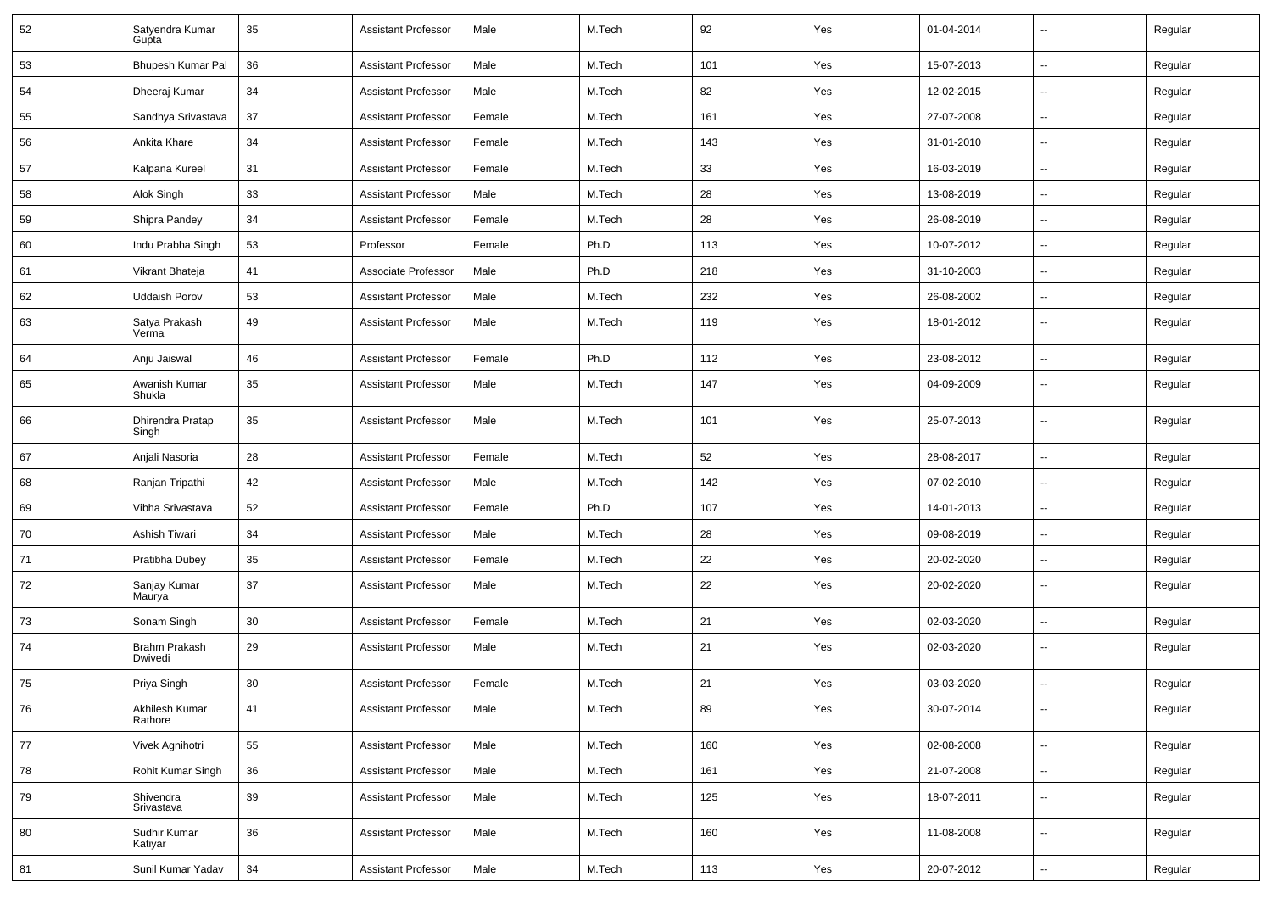| 52 | Satyendra Kumar<br>Gupta  | 35 | <b>Assistant Professor</b> | Male   | M.Tech | 92  | Yes | 01-04-2014 | --                       | Regular |
|----|---------------------------|----|----------------------------|--------|--------|-----|-----|------------|--------------------------|---------|
| 53 | Bhupesh Kumar Pal         | 36 | <b>Assistant Professor</b> | Male   | M.Tech | 101 | Yes | 15-07-2013 | $\overline{\phantom{a}}$ | Regular |
| 54 | Dheeraj Kumar             | 34 | <b>Assistant Professor</b> | Male   | M.Tech | 82  | Yes | 12-02-2015 | --                       | Regular |
| 55 | Sandhya Srivastava        | 37 | <b>Assistant Professor</b> | Female | M.Tech | 161 | Yes | 27-07-2008 | $\sim$                   | Regular |
| 56 | Ankita Khare              | 34 | <b>Assistant Professor</b> | Female | M.Tech | 143 | Yes | 31-01-2010 | $\overline{\phantom{a}}$ | Regular |
| 57 | Kalpana Kureel            | 31 | <b>Assistant Professor</b> | Female | M.Tech | 33  | Yes | 16-03-2019 | Ξ.                       | Regular |
| 58 | Alok Singh                | 33 | <b>Assistant Professor</b> | Male   | M.Tech | 28  | Yes | 13-08-2019 | $\sim$                   | Regular |
| 59 | Shipra Pandey             | 34 | <b>Assistant Professor</b> | Female | M.Tech | 28  | Yes | 26-08-2019 | $\sim$                   | Regular |
| 60 | Indu Prabha Singh         | 53 | Professor                  | Female | Ph.D   | 113 | Yes | 10-07-2012 | --                       | Regular |
| 61 | Vikrant Bhateja           | 41 | Associate Professor        | Male   | Ph.D   | 218 | Yes | 31-10-2003 | Ξ.                       | Regular |
| 62 | <b>Uddaish Porov</b>      | 53 | <b>Assistant Professor</b> | Male   | M.Tech | 232 | Yes | 26-08-2002 | $\overline{a}$           | Regular |
| 63 | Satya Prakash<br>Verma    | 49 | <b>Assistant Professor</b> | Male   | M.Tech | 119 | Yes | 18-01-2012 | --                       | Regular |
| 64 | Anju Jaiswal              | 46 | <b>Assistant Professor</b> | Female | Ph.D   | 112 | Yes | 23-08-2012 | Ξ.                       | Regular |
| 65 | Awanish Kumar<br>Shukla   | 35 | <b>Assistant Professor</b> | Male   | M.Tech | 147 | Yes | 04-09-2009 | $\overline{\phantom{a}}$ | Regular |
| 66 | Dhirendra Pratap<br>Singh | 35 | <b>Assistant Professor</b> | Male   | M.Tech | 101 | Yes | 25-07-2013 | $\sim$                   | Regular |
| 67 | Anjali Nasoria            | 28 | <b>Assistant Professor</b> | Female | M.Tech | 52  | Yes | 28-08-2017 | $\sim$                   | Regular |
| 68 | Ranjan Tripathi           | 42 | <b>Assistant Professor</b> | Male   | M.Tech | 142 | Yes | 07-02-2010 | $\sim$                   | Regular |
| 69 | Vibha Srivastava          | 52 | <b>Assistant Professor</b> | Female | Ph.D   | 107 | Yes | 14-01-2013 | $\overline{\phantom{a}}$ | Regular |
| 70 | Ashish Tiwari             | 34 | <b>Assistant Professor</b> | Male   | M.Tech | 28  | Yes | 09-08-2019 | $\overline{a}$           | Regular |
| 71 | Pratibha Dubey            | 35 | <b>Assistant Professor</b> | Female | M.Tech | 22  | Yes | 20-02-2020 | --                       | Regular |
| 72 | Sanjay Kumar<br>Maurya    | 37 | <b>Assistant Professor</b> | Male   | M.Tech | 22  | Yes | 20-02-2020 | --                       | Regular |
| 73 | Sonam Singh               | 30 | <b>Assistant Professor</b> | Female | M.Tech | 21  | Yes | 02-03-2020 | Ξ.                       | Regular |
| 74 | Brahm Prakash<br>Dwivedi  | 29 | <b>Assistant Professor</b> | Male   | M.Tech | 21  | Yes | 02-03-2020 | $\overline{\phantom{a}}$ | Regular |
| 75 | Priya Singh               | 30 | <b>Assistant Professor</b> | Female | M.Tech | 21  | Yes | 03-03-2020 |                          | Regular |
| 76 | Akhilesh Kumar<br>Rathore | 41 | <b>Assistant Professor</b> | Male   | M.Tech | 89  | Yes | 30-07-2014 | $\overline{\phantom{a}}$ | Regular |
| 77 | Vivek Agnihotri           | 55 | <b>Assistant Professor</b> | Male   | M.Tech | 160 | Yes | 02-08-2008 | $\sim$                   | Regular |
| 78 | Rohit Kumar Singh         | 36 | <b>Assistant Professor</b> | Male   | M.Tech | 161 | Yes | 21-07-2008 | --                       | Regular |
| 79 | Shivendra<br>Srivastava   | 39 | <b>Assistant Professor</b> | Male   | M.Tech | 125 | Yes | 18-07-2011 | u.                       | Regular |
| 80 | Sudhir Kumar<br>Katiyar   | 36 | <b>Assistant Professor</b> | Male   | M.Tech | 160 | Yes | 11-08-2008 | $\overline{\phantom{a}}$ | Regular |
| 81 | Sunil Kumar Yadav         | 34 | <b>Assistant Professor</b> | Male   | M.Tech | 113 | Yes | 20-07-2012 | $\overline{\phantom{a}}$ | Regular |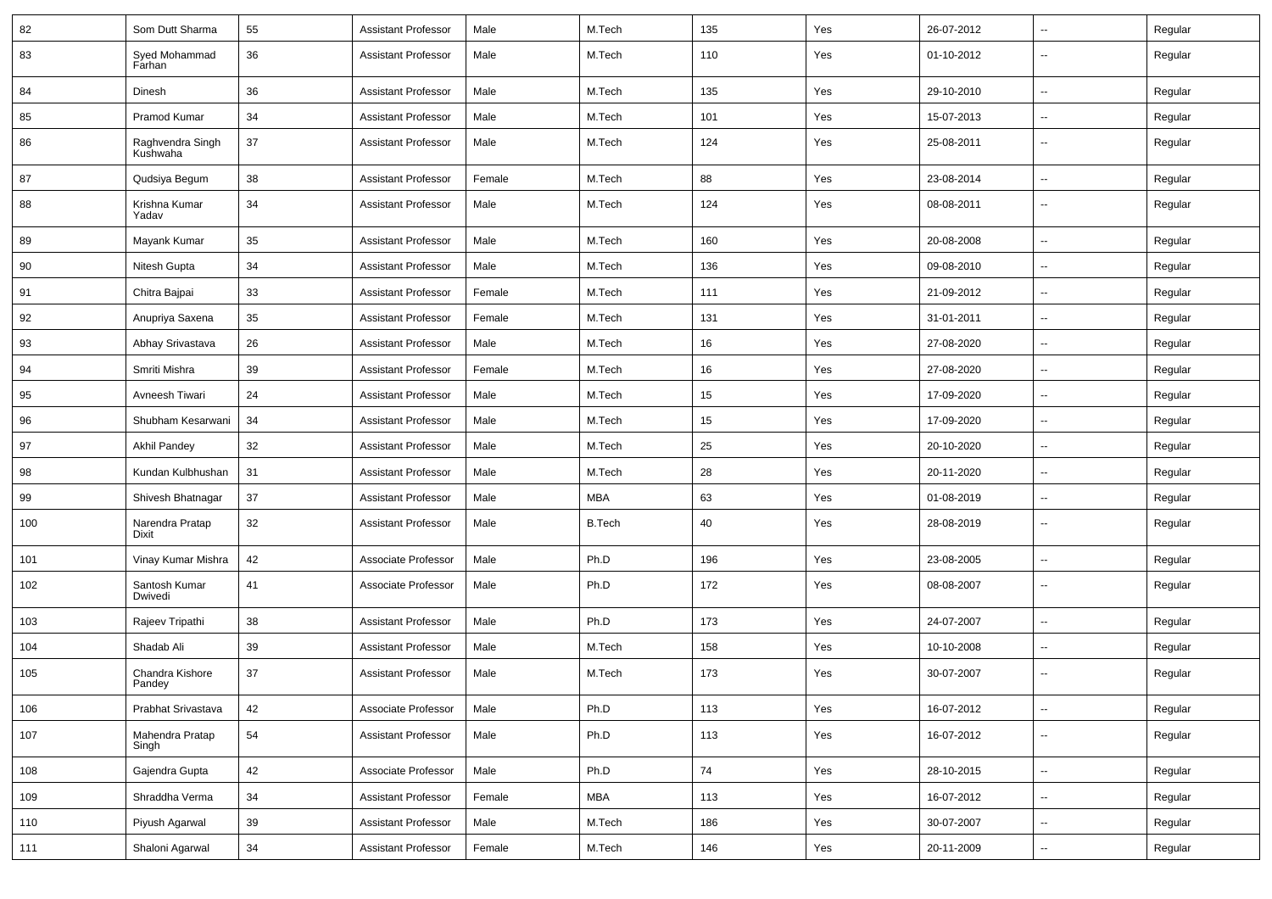| 82  | Som Dutt Sharma              | 55 | <b>Assistant Professor</b> | Male   | M.Tech        | 135 | Yes | 26-07-2012 | $\overline{\phantom{a}}$ | Regular |
|-----|------------------------------|----|----------------------------|--------|---------------|-----|-----|------------|--------------------------|---------|
| 83  | Syed Mohammad<br>Farhan      | 36 | <b>Assistant Professor</b> | Male   | M.Tech        | 110 | Yes | 01-10-2012 | $\overline{\phantom{a}}$ | Regular |
| 84  | Dinesh                       | 36 | <b>Assistant Professor</b> | Male   | M.Tech        | 135 | Yes | 29-10-2010 | Ξ.                       | Regular |
| 85  | Pramod Kumar                 | 34 | <b>Assistant Professor</b> | Male   | M.Tech        | 101 | Yes | 15-07-2013 | $\overline{\phantom{a}}$ | Regular |
| 86  | Raghvendra Singh<br>Kushwaha | 37 | <b>Assistant Professor</b> | Male   | M.Tech        | 124 | Yes | 25-08-2011 | --                       | Regular |
| 87  | Qudsiya Begum                | 38 | <b>Assistant Professor</b> | Female | M.Tech        | 88  | Yes | 23-08-2014 | --                       | Regular |
| 88  | Krishna Kumar<br>Yadav       | 34 | <b>Assistant Professor</b> | Male   | M.Tech        | 124 | Yes | 08-08-2011 | $\overline{\phantom{a}}$ | Regular |
| 89  | Mayank Kumar                 | 35 | <b>Assistant Professor</b> | Male   | M.Tech        | 160 | Yes | 20-08-2008 | $\sim$                   | Regular |
| 90  | Nitesh Gupta                 | 34 | <b>Assistant Professor</b> | Male   | M.Tech        | 136 | Yes | 09-08-2010 | $\overline{\phantom{a}}$ | Regular |
| 91  | Chitra Bajpai                | 33 | <b>Assistant Professor</b> | Female | M.Tech        | 111 | Yes | 21-09-2012 | н.                       | Regular |
| 92  | Anupriya Saxena              | 35 | <b>Assistant Professor</b> | Female | M.Tech        | 131 | Yes | 31-01-2011 | $\overline{\phantom{a}}$ | Regular |
| 93  | Abhay Srivastava             | 26 | <b>Assistant Professor</b> | Male   | M.Tech        | 16  | Yes | 27-08-2020 | $\overline{\phantom{a}}$ | Regular |
| 94  | Smriti Mishra                | 39 | <b>Assistant Professor</b> | Female | M.Tech        | 16  | Yes | 27-08-2020 | --                       | Regular |
| 95  | Avneesh Tiwari               | 24 | <b>Assistant Professor</b> | Male   | M.Tech        | 15  | Yes | 17-09-2020 | $\mathbf{u}$             | Regular |
| 96  | Shubham Kesarwani            | 34 | <b>Assistant Professor</b> | Male   | M.Tech        | 15  | Yes | 17-09-2020 | $\overline{\phantom{a}}$ | Regular |
| 97  | <b>Akhil Pandey</b>          | 32 | <b>Assistant Professor</b> | Male   | M.Tech        | 25  | Yes | 20-10-2020 | н.                       | Regular |
| 98  | Kundan Kulbhushan            | 31 | <b>Assistant Professor</b> | Male   | M.Tech        | 28  | Yes | 20-11-2020 | $\overline{\phantom{a}}$ | Regular |
| 99  | Shivesh Bhatnagar            | 37 | <b>Assistant Professor</b> | Male   | MBA           | 63  | Yes | 01-08-2019 | --                       | Regular |
| 100 | Narendra Pratap<br>Dixit     | 32 | <b>Assistant Professor</b> | Male   | <b>B.Tech</b> | 40  | Yes | 28-08-2019 | -−                       | Regular |
| 101 | Vinay Kumar Mishra           | 42 | Associate Professor        | Male   | Ph.D          | 196 | Yes | 23-08-2005 | --                       | Regular |
| 102 | Santosh Kumar<br>Dwivedi     | 41 | Associate Professor        | Male   | Ph.D          | 172 | Yes | 08-08-2007 | $\overline{\phantom{a}}$ | Regular |
| 103 | Rajeev Tripathi              | 38 | <b>Assistant Professor</b> | Male   | Ph.D          | 173 | Yes | 24-07-2007 | Ξ.                       | Regular |
| 104 | Shadab Ali                   | 39 | Assistant Professor        | Male   | M.Tech        | 158 | Yes | 10-10-2008 | $\overline{\phantom{a}}$ | Regular |
| 105 | Chandra Kishore<br>Pandey    | 37 | <b>Assistant Professor</b> | Male   | M.Tech        | 173 | Yes | 30-07-2007 | --                       | Regular |
| 106 | Prabhat Srivastava           | 42 | Associate Professor        | Male   | Ph.D          | 113 | Yes | 16-07-2012 | н,                       | Regular |
| 107 | Mahendra Pratap<br>Singh     | 54 | <b>Assistant Professor</b> | Male   | Ph.D          | 113 | Yes | 16-07-2012 | $\overline{\phantom{a}}$ | Regular |
| 108 | Gajendra Gupta               | 42 | Associate Professor        | Male   | Ph.D          | 74  | Yes | 28-10-2015 | Щ,                       | Regular |
| 109 | Shraddha Verma               | 34 | <b>Assistant Professor</b> | Female | MBA           | 113 | Yes | 16-07-2012 | $\overline{\phantom{a}}$ | Regular |
| 110 | Piyush Agarwal               | 39 | <b>Assistant Professor</b> | Male   | M.Tech        | 186 | Yes | 30-07-2007 | --                       | Regular |
| 111 | Shaloni Agarwal              | 34 | <b>Assistant Professor</b> | Female | M.Tech        | 146 | Yes | 20-11-2009 | Щ,                       | Regular |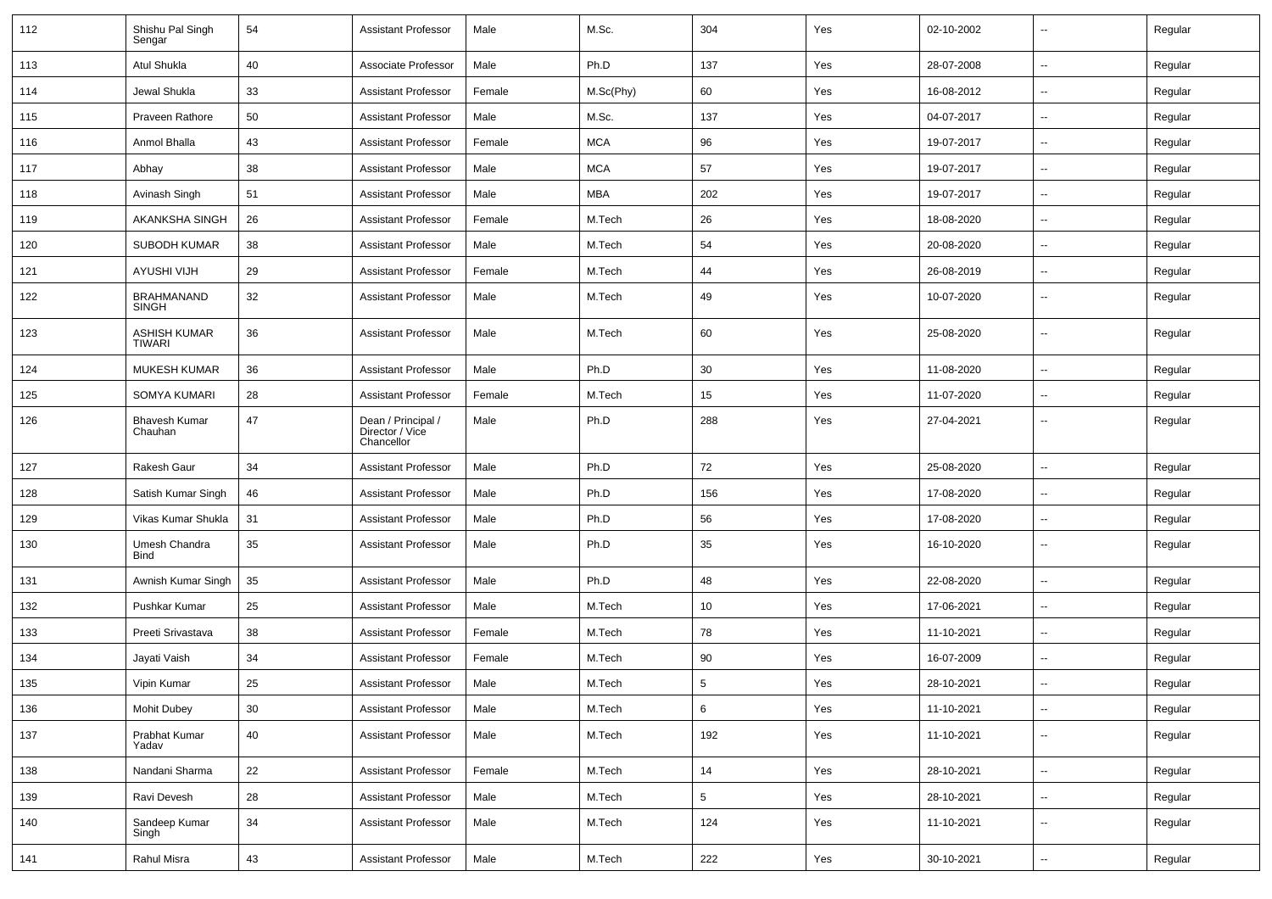| 112 | Shishu Pal Singh<br>Sengar        | 54 | <b>Assistant Professor</b>                          | Male   | M.Sc.      | 304            | Yes | 02-10-2002 | -−                       | Regular |
|-----|-----------------------------------|----|-----------------------------------------------------|--------|------------|----------------|-----|------------|--------------------------|---------|
| 113 | Atul Shukla                       | 40 | Associate Professor                                 | Male   | Ph.D       | 137            | Yes | 28-07-2008 | ⊷.                       | Regular |
| 114 | Jewal Shukla                      | 33 | <b>Assistant Professor</b>                          | Female | M.Sc(Phy)  | 60             | Yes | 16-08-2012 | $\overline{\phantom{a}}$ | Regular |
| 115 | <b>Praveen Rathore</b>            | 50 | <b>Assistant Professor</b>                          | Male   | M.Sc.      | 137            | Yes | 04-07-2017 | $\overline{\phantom{a}}$ | Regular |
| 116 | Anmol Bhalla                      | 43 | <b>Assistant Professor</b>                          | Female | <b>MCA</b> | 96             | Yes | 19-07-2017 | -−                       | Regular |
| 117 | Abhay                             | 38 | <b>Assistant Professor</b>                          | Male   | <b>MCA</b> | 57             | Yes | 19-07-2017 | $\mathbf{u}$             | Regular |
| 118 | Avinash Singh                     | 51 | <b>Assistant Professor</b>                          | Male   | MBA        | 202            | Yes | 19-07-2017 | $\overline{\phantom{a}}$ | Regular |
| 119 | AKANKSHA SINGH                    | 26 | <b>Assistant Professor</b>                          | Female | M.Tech     | 26             | Yes | 18-08-2020 | ⊷.                       | Regular |
| 120 | SUBODH KUMAR                      | 38 | <b>Assistant Professor</b>                          | Male   | M.Tech     | 54             | Yes | 20-08-2020 | $\overline{\phantom{a}}$ | Regular |
| 121 | <b>AYUSHI VIJH</b>                | 29 | <b>Assistant Professor</b>                          | Female | M.Tech     | 44             | Yes | 26-08-2019 | $\overline{a}$           | Regular |
| 122 | <b>BRAHMANAND</b><br><b>SINGH</b> | 32 | <b>Assistant Professor</b>                          | Male   | M.Tech     | 49             | Yes | 10-07-2020 | --                       | Regular |
| 123 | <b>ASHISH KUMAR</b><br>TIWARI     | 36 | <b>Assistant Professor</b>                          | Male   | M.Tech     | 60             | Yes | 25-08-2020 | --                       | Regular |
| 124 | <b>MUKESH KUMAR</b>               | 36 | <b>Assistant Professor</b>                          | Male   | Ph.D       | 30             | Yes | 11-08-2020 | $\overline{a}$           | Regular |
| 125 | SOMYA KUMARI                      | 28 | <b>Assistant Professor</b>                          | Female | M.Tech     | 15             | Yes | 11-07-2020 | $\sim$                   | Regular |
| 126 | <b>Bhavesh Kumar</b><br>Chauhan   | 47 | Dean / Principal /<br>Director / Vice<br>Chancellor | Male   | Ph.D       | 288            | Yes | 27-04-2021 | ⊷.                       | Regular |
| 127 | Rakesh Gaur                       | 34 | <b>Assistant Professor</b>                          | Male   | Ph.D       | 72             | Yes | 25-08-2020 | $\mathbf{u}$             | Regular |
| 128 | Satish Kumar Singh                | 46 | <b>Assistant Professor</b>                          | Male   | Ph.D       | 156            | Yes | 17-08-2020 | $\overline{\phantom{a}}$ | Regular |
| 129 | Vikas Kumar Shukla                | 31 | <b>Assistant Professor</b>                          | Male   | Ph.D       | 56             | Yes | 17-08-2020 | ⊷.                       | Regular |
| 130 | Umesh Chandra<br><b>Bind</b>      | 35 | <b>Assistant Professor</b>                          | Male   | Ph.D       | 35             | Yes | 16-10-2020 | $\sim$                   | Regular |
| 131 | Awnish Kumar Singh                | 35 | <b>Assistant Professor</b>                          | Male   | Ph.D       | 48             | Yes | 22-08-2020 | $\mathbf{u}$             | Regular |
| 132 | Pushkar Kumar                     | 25 | <b>Assistant Professor</b>                          | Male   | M.Tech     | 10             | Yes | 17-06-2021 | -−                       | Regular |
| 133 | Preeti Srivastava                 | 38 | <b>Assistant Professor</b>                          | Female | M.Tech     | 78             | Yes | 11-10-2021 | --                       | Regular |
| 134 | Jayati Vaish                      | 34 | <b>Assistant Professor</b>                          | Female | M.Tech     | 90             | Yes | 16-07-2009 | $\overline{\phantom{a}}$ | Regular |
| 135 | Vipin Kumar                       | 25 | <b>Assistant Professor</b>                          | Male   | M.Tech     | $\sqrt{5}$     | Yes | 28-10-2021 | -−                       | Regular |
| 136 | Mohit Dubey                       | 30 | <b>Assistant Professor</b>                          | Male   | M.Tech     | 6              | Yes | 11-10-2021 | ₩,                       | Regular |
| 137 | Prabhat Kumar<br>Yadav            | 40 | <b>Assistant Professor</b>                          | Male   | M.Tech     | 192            | Yes | 11-10-2021 | $\sim$                   | Regular |
| 138 | Nandani Sharma                    | 22 | <b>Assistant Professor</b>                          | Female | M.Tech     | 14             | Yes | 28-10-2021 | $\overline{\phantom{a}}$ | Regular |
| 139 | Ravi Devesh                       | 28 | <b>Assistant Professor</b>                          | Male   | M.Tech     | $\overline{5}$ | Yes | 28-10-2021 | $\sim$                   | Regular |
| 140 | Sandeep Kumar<br>Singh            | 34 | <b>Assistant Professor</b>                          | Male   | M.Tech     | 124            | Yes | 11-10-2021 | $\sim$                   | Regular |
| 141 | Rahul Misra                       | 43 | <b>Assistant Professor</b>                          | Male   | M.Tech     | 222            | Yes | 30-10-2021 | $\sim$                   | Regular |